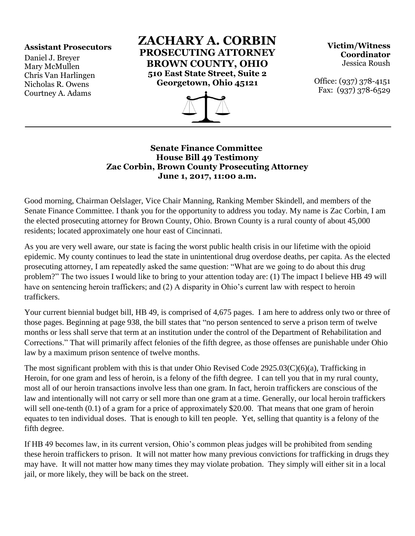## **Assistant Prosecutors**

Daniel J. Breyer Mary McMullen Chris Van Harlingen Nicholas R. Owens Courtney A. Adams

**ZACHARY A. CORBIN PROSECUTING ATTORNEY BROWN COUNTY, OHIO 510 East State Street, Suite 2 Georgetown, Ohio 45121**



**Victim/Witness Coordinator** Jessica Roush

Office: (937) 378-4151 Fax: (937) 378-6529

## **Senate Finance Committee House Bill 49 Testimony Zac Corbin, Brown County Prosecuting Attorney June 1, 2017, 11:00 a.m.**

Good morning, Chairman Oelslager, Vice Chair Manning, Ranking Member Skindell, and members of the Senate Finance Committee. I thank you for the opportunity to address you today. My name is Zac Corbin, I am the elected prosecuting attorney for Brown County, Ohio. Brown County is a rural county of about 45,000 residents; located approximately one hour east of Cincinnati.

As you are very well aware, our state is facing the worst public health crisis in our lifetime with the opioid epidemic. My county continues to lead the state in unintentional drug overdose deaths, per capita. As the elected prosecuting attorney, I am repeatedly asked the same question: "What are we going to do about this drug problem?" The two issues I would like to bring to your attention today are: (1) The impact I believe HB 49 will have on sentencing heroin traffickers; and (2) A disparity in Ohio's current law with respect to heroin traffickers.

Your current biennial budget bill, HB 49, is comprised of 4,675 pages. I am here to address only two or three of those pages. Beginning at page 938, the bill states that "no person sentenced to serve a prison term of twelve months or less shall serve that term at an institution under the control of the Department of Rehabilitation and Corrections." That will primarily affect felonies of the fifth degree, as those offenses are punishable under Ohio law by a maximum prison sentence of twelve months.

The most significant problem with this is that under Ohio Revised Code 2925.03(C)(6)(a), Trafficking in Heroin, for one gram and less of heroin, is a felony of the fifth degree. I can tell you that in my rural county, most all of our heroin transactions involve less than one gram. In fact, heroin traffickers are conscious of the law and intentionally will not carry or sell more than one gram at a time. Generally, our local heroin traffickers will sell one-tenth (0.1) of a gram for a price of approximately \$20.00. That means that one gram of heroin equates to ten individual doses. That is enough to kill ten people. Yet, selling that quantity is a felony of the fifth degree.

If HB 49 becomes law, in its current version, Ohio's common pleas judges will be prohibited from sending these heroin traffickers to prison. It will not matter how many previous convictions for trafficking in drugs they may have. It will not matter how many times they may violate probation. They simply will either sit in a local jail, or more likely, they will be back on the street.